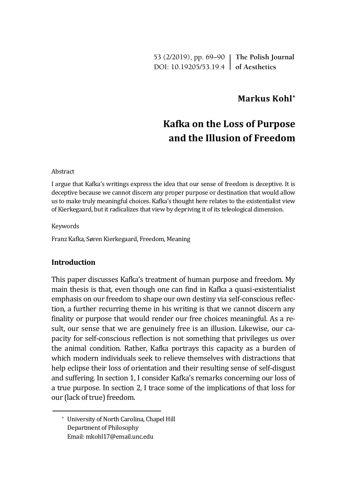53 (2/2019), pp. 69–90 **The Polish Journal** DOI: 10.19205/53.19.4 **of Aesthetics**

# **Markus Kohl\***

# **Kafka on the Loss of Purpose and the Illusion of Freedom**

#### Abstract

I argue that Kafka's writings express the idea that our sense of freedom is deceptive. It is deceptive because we cannot discern any proper purpose or destination that would allow us to make truly meaningful choices. Kafka's thought here relates to the existentialist view of Kierkegaard, but it radicalizes that view by depriving it of its teleological dimension.

#### Keywords

Franz Kafka, Søren Kierkegaard, Freedom, Meaning

### **Introduction**

This paper discusses Kafka's treatment of human purpose and freedom. My main thesis is that, even though one can find in Kafka a quasi-existentialist emphasis on our freedom to shape our own destiny via self-conscious reflection, a further recurring theme in his writing is that we cannot discern any finality or purpose that would render our free choices meaningful. As a result, our sense that we are genuinely free is an illusion. Likewise, our capacity for self-conscious reflection is not something that privileges us over the animal condition. Rather, Kafka portrays this capacity as a burden of which modern individuals seek to relieve themselves with distractions that help eclipse their loss of orientation and their resulting sense of self-disgust and suffering. In section 1, I consider Kafka's remarks concerning our loss of a true purpose. In section 2, I trace some of the implications of that loss for our (lack of true) freedom.

\* University of North Carolina, Chapel Hill Department of Philosophy Email: mkohl17@email.unc.edu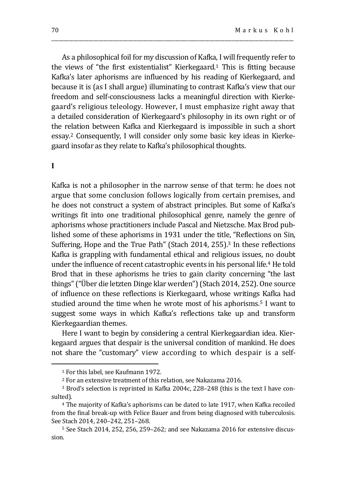As a philosophical foil for my discussion of Kafka, I will frequently refer to the views of "the first existentialist" Kierkegaard.<sup>1</sup> This is fitting because Kafka's later aphorisms are influenced by his reading of Kierkegaard, and because it is (as I shall argue) illuminating to contrast Kafka's view that our freedom and self-consciousness lacks a meaningful direction with Kierkegaard's religious teleology. However, I must emphasize right away that a detailed consideration of Kierkegaard's philosophy in its own right or of the relation between Kafka and Kierkegaard is impossible in such a short essay.<sup>2</sup> Consequently, I will consider only some basic key ideas in Kierkegaard insofar as they relate to Kafka's philosophical thoughts.

\_\_\_\_\_\_\_\_\_\_\_\_\_\_\_\_\_\_\_\_\_\_\_\_\_\_\_\_\_\_\_\_\_\_\_\_\_\_\_\_\_\_\_\_\_\_\_\_\_\_\_\_\_\_\_\_\_\_\_\_\_\_\_\_\_\_\_\_\_\_\_\_\_\_\_\_\_\_\_\_\_\_\_\_\_\_\_\_\_\_\_\_\_\_\_\_\_\_

## **I**

 $\overline{a}$ 

Kafka is not a philosopher in the narrow sense of that term: he does not argue that some conclusion follows logically from certain premises, and he does not construct a system of abstract principles. But some of Kafka's writings fit into one traditional philosophical genre, namely the genre of aphorisms whose practitioners include Pascal and Nietzsche. Max Brod published some of these aphorisms in 1931 under the title, "Reflections on Sin, Suffering, Hope and the True Path" (Stach 2014, 255).<sup>3</sup> In these reflections Kafka is grappling with fundamental ethical and religious issues, no doubt under the influence of recent catastrophic events in his personal life.<sup>4</sup> He told Brod that in these aphorisms he tries to gain clarity concerning "the last things" ("Über die letzten Dinge klar werden") (Stach 2014, 252). One source of influence on these reflections is Kierkegaard, whose writings Kafka had studied around the time when he wrote most of his aphorisms.<sup>5</sup> I want to suggest some ways in which Kafka's reflections take up and transform Kierkegaardian themes.

Here I want to begin by considering a central Kierkegaardian idea. Kierkegaard argues that despair is the universal condition of mankind. He does not share the "customary" view according to which despair is a self-

<sup>1</sup> For this label, see Kaufmann 1972.

<sup>2</sup> For an extensive treatment of this relation, see Nakazama 2016.

<sup>3</sup> Brod's selection is reprinted in Kafka 2004c, 228–248 (this is the text I have consulted).

<sup>4</sup> The majority of Kafka's aphorisms can be dated to late 1917, when Kafka recoiled from the final break-up with Felice Bauer and from being diagnosed with tuberculosis. See Stach 2014, 240–242, 251–268.

<sup>5</sup> See Stach 2014, 252, 256, 259–262; and see Nakazama 2016 for extensive discussion.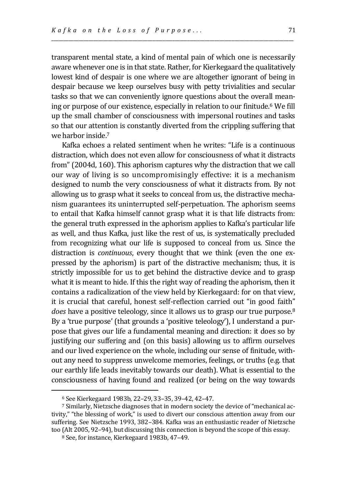transparent mental state, a kind of mental pain of which one is necessarily aware whenever one is in that state. Rather, for Kierkegaard the qualitatively lowest kind of despair is one where we are altogether ignorant of being in despair because we keep ourselves busy with petty trivialities and secular tasks so that we can conveniently ignore questions about the overall meaning or purpose of our existence, especially in relation to our finitude.<sup>6</sup> We fill up the small chamber of consciousness with impersonal routines and tasks so that our attention is constantly diverted from the crippling suffering that we harbor inside.<sup>7</sup>

\_\_\_\_\_\_\_\_\_\_\_\_\_\_\_\_\_\_\_\_\_\_\_\_\_\_\_\_\_\_\_\_\_\_\_\_\_\_\_\_\_\_\_\_\_\_\_\_\_\_\_\_\_\_\_\_\_\_\_\_\_\_\_\_\_\_\_\_\_\_\_\_\_\_\_\_\_\_\_\_\_\_\_\_\_\_\_\_\_\_\_\_\_\_\_\_\_\_

Kafka echoes a related sentiment when he writes: "Life is a continuous distraction, which does not even allow for consciousness of what it distracts from" (2004d, 160). This aphorism captures why the distraction that we call our way of living is so uncompromisingly effective: it is a mechanism designed to numb the very consciousness of what it distracts from. By not allowing us to grasp what it seeks to conceal from us, the distractive mechanism guarantees its uninterrupted self-perpetuation. The aphorism seems to entail that Kafka himself cannot grasp what it is that life distracts from: the general truth expressed in the aphorism applies to Kafka's particular life as well, and thus Kafka, just like the rest of us, is systematically precluded from recognizing what our life is supposed to conceal from us. Since the distraction is *continuous*, every thought that we think (even the one expressed by the aphorism) is part of the distractive mechanism; thus, it is strictly impossible for us to get behind the distractive device and to grasp what it is meant to hide. If this the right way of reading the aphorism, then it contains a radicalization of the view held by Kierkegaard: for on that view, it is crucial that careful, honest self-reflection carried out "in good faith" *does* have a positive teleology, since it allows us to grasp our true purpose.<sup>8</sup> By a 'true purpose' (that grounds a 'positive teleology'), I understand a purpose that gives our life a fundamental meaning and direction: it does so by justifying our suffering and (on this basis) allowing us to affirm ourselves and our lived experience on the whole, including our sense of finitude, without any need to suppress unwelcome memories, feelings, or truths (e.g. that our earthly life leads inevitably towards our death). What is essential to the consciousness of having found and realized (or being on the way towards

<sup>6</sup> See Kierkegaard 1983b, 22–29, 33–35, 39–42, 42–47.

<sup>7</sup> Similarly, Nietzsche diagnoses that in modern society the device of "mechanical activity," "the blessing of work," is used to divert our conscious attention away from our suffering. See Nietzsche 1993, 382–384. Kafka was an enthusiastic reader of Nietzsche too (Alt 2005, 92–94), but discussing this connection is beyond the scope of this essay.

<sup>8</sup> See, for instance, Kierkegaard 1983b, 47–49.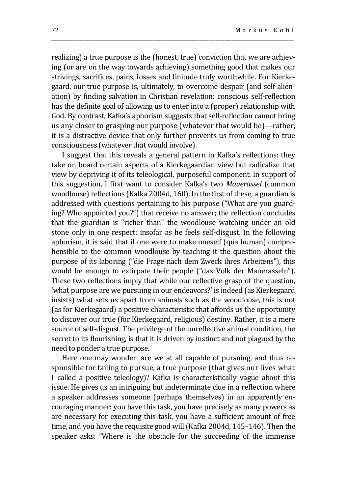realizing) a true purpose is the (honest, true) conviction that we are achieving (or are on the way towards achieving) something good that makes our strivings, sacrifices, pains, losses and finitude truly worthwhile. For Kierkegaard, our true purpose is, ultimately, to overcome despair (and self-alienation) by finding salvation in Christian revelation: conscious self-reflection has the definite goal of allowing us to enter into a (proper) relationship with God. By contrast, Kafka's aphorism suggests that self-reflection cannot bring us any closer to grasping our purpose (whatever that would be)—rather, it is a distractive device that only further prevents us from coming to true consciousness (whatever that would involve).

\_\_\_\_\_\_\_\_\_\_\_\_\_\_\_\_\_\_\_\_\_\_\_\_\_\_\_\_\_\_\_\_\_\_\_\_\_\_\_\_\_\_\_\_\_\_\_\_\_\_\_\_\_\_\_\_\_\_\_\_\_\_\_\_\_\_\_\_\_\_\_\_\_\_\_\_\_\_\_\_\_\_\_\_\_\_\_\_\_\_\_\_\_\_\_\_\_\_

I suggest that this reveals a general pattern in Kafka's reflections: they take on board certain aspects of a Kierkegaardian view but radicalize that view by depriving it of its teleological, purposeful component. In support of this suggestion, I first want to consider Kafka's two *Mauerassel* (common woodlouse) reflections (Kafka 2004d, 160). In the first of these, a guardian is addressed with questions pertaining to his purpose ("What are you guarding? Who appointed you?") that receive no answer; the reflection concludes that the guardian is "richer than" the woodlouse watching under an old stone only in one respect: insofar as he feels self-disgust. In the following aphorism, it is said that if one were to make oneself (qua human) comprehensible to the common woodlouse by teaching it the question about the purpose of its laboring ("die Frage nach dem Zweck ihres Arbeitens"), this would be enough to extirpate their people ("das Volk der Mauerasseln"). These two reflections imply that while our reflective grasp of the question, 'what purpose are we pursuing in our endeavors?' is indeed (as Kierkegaard insists) what sets us apart from animals such as the woodlouse, this is not (as for Kierkegaard) a positive characteristic that affords us the opportunity to discover our true (for Kierkegaard, religious) destiny. Rather, it is a mere source of self-disgust. The privilege of the unreflective animal condition, the secret to its flourishing, is that it is driven by instinct and not plagued by the need to ponder a true purpose.

Here one may wonder: are we at all capable of pursuing, and thus responsible for failing to pursue, a true purpose (that gives our lives what I called a positive teleology)? Kafka is characteristically vague about this issue. He gives us an intriguing but indeterminate clue in a reflection where a speaker addresses someone (perhaps themselves) in an apparently encouraging manner: you have this task, you have precisely as many powers as are necessary for executing this task, you have a sufficient amount of free time, and you have the requisite good will (Kafka 2004d, 145–146). Then the speaker asks: "Where is the obstacle for the succeeding of the immense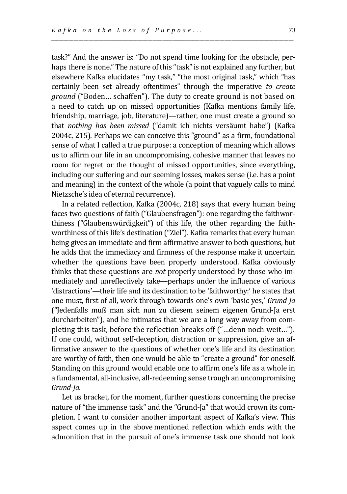task?" And the answer is: "Do not spend time looking for the obstacle, perhaps there is none." The nature of this "task" is not explained any further, but elsewhere Kafka elucidates "my task," "the most original task," which "has certainly been set already oftentimes" through the imperative *to create ground* ("Boden… schaffen"). The duty to create ground is not based on a need to catch up on missed opportunities (Kafka mentions family life, friendship, marriage, job, literature)—rather, one must create a ground so that *nothing has been missed* ("damit ich nichts versäumt habe") (Kafka 2004c, 215). Perhaps we can conceive this "ground" as a firm, foundational sense of what I called a true purpose: a conception of meaning which allows us to affirm our life in an uncompromising, cohesive manner that leaves no room for regret or the thought of missed opportunities, since everything, including our suffering and our seeming losses, makes sense (i.e. has a point and meaning) in the context of the whole (a point that vaguely calls to mind Nietzsche's idea of eternal recurrence).

\_\_\_\_\_\_\_\_\_\_\_\_\_\_\_\_\_\_\_\_\_\_\_\_\_\_\_\_\_\_\_\_\_\_\_\_\_\_\_\_\_\_\_\_\_\_\_\_\_\_\_\_\_\_\_\_\_\_\_\_\_\_\_\_\_\_\_\_\_\_\_\_\_\_\_\_\_\_\_\_\_\_\_\_\_\_\_\_\_\_\_\_\_\_\_\_\_\_

In a related reflection, Kafka (2004c, 218) says that every human being faces two questions of faith ("Glaubensfragen"): one regarding the faithworthiness ("Glaubenswürdigkeit") of this life, the other regarding the faithworthiness of this life's destination ("Ziel"). Kafka remarks that every human being gives an immediate and firm affirmative answer to both questions, but he adds that the immediacy and firmness of the response make it uncertain whether the questions have been properly understood. Kafka obviously thinks that these questions are *not* properly understood by those who immediately and unreflectively take—perhaps under the influence of various 'distractions'—their life and its destination to be 'faithworthy:' he states that one must, first of all, work through towards one's own 'basic yes,' *Grund-Ja* ("Jedenfalls muß man sich nun zu diesem seinem eigenen Grund-Ja erst durcharbeiten"), and he intimates that we are a long way away from completing this task, before the reflection breaks off ("…denn noch weit…"). If one could, without self-deception, distraction or suppression, give an affirmative answer to the questions of whether one's life and its destination are worthy of faith, then one would be able to "create a ground" for oneself. Standing on this ground would enable one to affirm one's life as a whole in a fundamental, all-inclusive, all-redeeming sense trough an uncompromising *Grund-Ja*.

Let us bracket, for the moment, further questions concerning the precise nature of "the immense task" and the "Grund-Ja" that would crown its completion. I want to consider another important aspect of Kafka's view. This aspect comes up in the above mentioned reflection which ends with the admonition that in the pursuit of one's immense task one should not look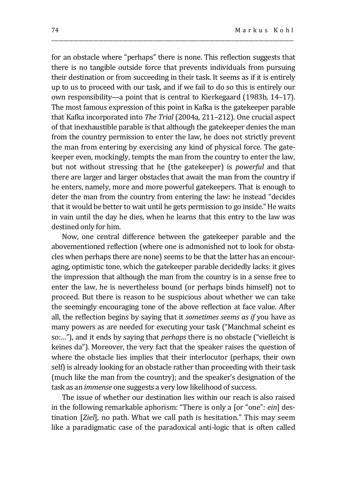for an obstacle where "perhaps" there is none. This reflection suggests that there is no tangible outside force that prevents individuals from pursuing their destination or from succeeding in their task. It seems as if it is entirely up to us to proceed with our task, and if we fail to do so this is entirely our own responsibility—a point that is central to Kierkegaard (1983b, 14–17). The most famous expression of this point in Kafka is the gatekeeper parable that Kafka incorporated into *The Trial* (2004a, 211–212). One crucial aspect of that inexhaustible parable is that although the gatekeeper denies the man from the country permission to enter the law, he does not strictly prevent the man from entering by exercising any kind of physical force. The gatekeeper even, mockingly, tempts the man from the country to enter the law, but not without stressing that he (the gatekeeper) is *powerful* and that there are larger and larger obstacles that await the man from the country if he enters, namely, more and more powerful gatekeepers. That is enough to deter the man from the country from entering the law: he instead "decides that it would be better to wait until he gets permission to go inside." He waits in vain until the day he dies, when he learns that this entry to the law was destined only for him.

\_\_\_\_\_\_\_\_\_\_\_\_\_\_\_\_\_\_\_\_\_\_\_\_\_\_\_\_\_\_\_\_\_\_\_\_\_\_\_\_\_\_\_\_\_\_\_\_\_\_\_\_\_\_\_\_\_\_\_\_\_\_\_\_\_\_\_\_\_\_\_\_\_\_\_\_\_\_\_\_\_\_\_\_\_\_\_\_\_\_\_\_\_\_\_\_\_\_

Now, one central difference between the gatekeeper parable and the abovementioned reflection (where one is admonished not to look for obstacles when perhaps there are none) seems to be that the latter has an encouraging, optimistic tone, which the gatekeeper parable decidedly lacks: it gives the impression that although the man from the country is in a sense free to enter the law, he is nevertheless bound (or perhaps binds himself) not to proceed. But there is reason to be suspicious about whether we can take the seemingly encouraging tone of the above reflection at face value. After all, the reflection begins by saying that it *sometimes seems as if* you have as many powers as are needed for executing your task ("Manchmal scheint es so:…"), and it ends by saying that *perhaps* there is no obstacle ("vielleicht is keines da"). Moreover, the very fact that the speaker raises the question of where the obstacle lies implies that their interlocutor (perhaps, their own self) is already looking for an obstacle rather than proceeding with their task (much like the man from the country); and the speaker's designation of the task as an *immense* one suggests a very low likelihood of success.

The issue of whether our destination lies within our reach is also raised in the following remarkable aphorism: "There is only a [or "one": *ein*] destination [*Ziel*], no path. What we call path is hesitation." This may seem like a paradigmatic case of the paradoxical anti-logic that is often called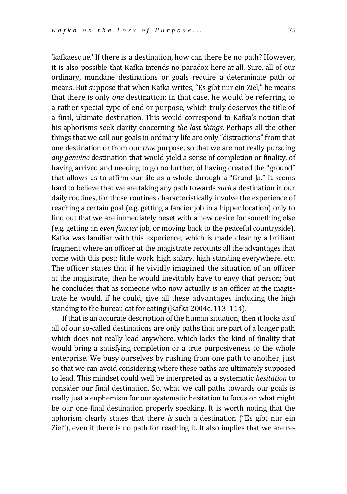'kafkaesque.' If there is a destination, how can there be no path? However, it is also possible that Kafka intends no paradox here at all. Sure, all of our ordinary, mundane destinations or goals require a determinate path or means. But suppose that when Kafka writes, "Es gibt nur ein Ziel," he means that there is only *one* destination: in that case, he would be referring to a rather special type of end or purpose, which truly deserves the title of a final, ultimate destination. This would correspond to Kafka's notion that his aphorisms seek clarity concerning *the last things*. Perhaps all the other things that we call our goals in ordinary life are only "distractions" from that one destination or from our *true* purpose, so that we are not really pursuing *any genuine* destination that would yield a sense of completion or finality, of having arrived and needing to go no further, of having created the "ground" that allows us to affirm our life as a whole through a "Grund-Ja." It seems hard to believe that we are taking any path towards *such* a destination in our daily routines, for those routines characteristically involve the experience of reaching a certain goal (e.g. getting a fancier job in a hipper location) only to find out that we are immediately beset with a new desire for something else (e.g. getting an *even fancier* job, or moving back to the peaceful countryside). Kafka was familiar with this experience, which is made clear by a brilliant fragment where an officer at the magistrate recounts all the advantages that come with this post: little work, high salary, high standing everywhere, etc. The officer states that if he vividly imagined the situation of an officer at the magistrate, then he would inevitably have to envy that person; but he concludes that as someone who now actually *is* an officer at the magistrate he would, if he could, give all these advantages including the high standing to the bureau cat for eating (Kafka 2004c, 113–114).

\_\_\_\_\_\_\_\_\_\_\_\_\_\_\_\_\_\_\_\_\_\_\_\_\_\_\_\_\_\_\_\_\_\_\_\_\_\_\_\_\_\_\_\_\_\_\_\_\_\_\_\_\_\_\_\_\_\_\_\_\_\_\_\_\_\_\_\_\_\_\_\_\_\_\_\_\_\_\_\_\_\_\_\_\_\_\_\_\_\_\_\_\_\_\_\_\_\_

If that is an accurate description of the human situation, then it looks as if all of our so-called destinations are only paths that are part of a longer path which does not really lead anywhere, which lacks the kind of finality that would bring a satisfying completion or a true purposiveness to the whole enterprise. We busy ourselves by rushing from one path to another, just so that we can avoid considering where these paths are ultimately supposed to lead. This mindset could well be interpreted as a systematic *hesitation* to consider our final destination. So, what we call paths towards our goals is really just a euphemism for our systematic hesitation to focus on what might be our one final destination properly speaking. It is worth noting that the aphorism clearly states that there *is* such a destination ("Es gibt nur ein Ziel"), even if there is no path for reaching it. It also implies that we are re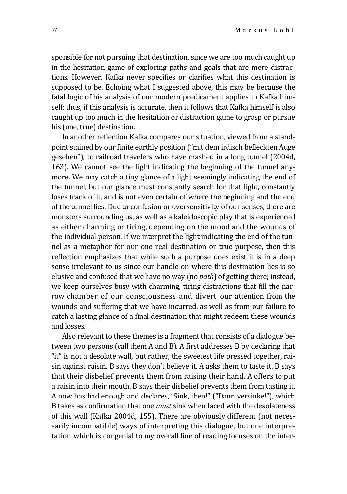sponsible for not pursuing that destination, since we are too much caught up in the hesitation game of exploring paths and goals that are mere distractions. However, Kafka never specifies or clarifies what this destination is supposed to be. Echoing what I suggested above, this may be because the fatal logic of his analysis of our modern predicament applies to Kafka himself: thus, if this analysis is accurate, then it follows that Kafka himself is also caught up too much in the hesitation or distraction game to grasp or pursue his (one, true) destination.

\_\_\_\_\_\_\_\_\_\_\_\_\_\_\_\_\_\_\_\_\_\_\_\_\_\_\_\_\_\_\_\_\_\_\_\_\_\_\_\_\_\_\_\_\_\_\_\_\_\_\_\_\_\_\_\_\_\_\_\_\_\_\_\_\_\_\_\_\_\_\_\_\_\_\_\_\_\_\_\_\_\_\_\_\_\_\_\_\_\_\_\_\_\_\_\_\_\_

In another reflection Kafka compares our situation, viewed from a standpoint stained by our finite earthly position ("mit dem irdisch befleckten Auge gesehen"), to railroad travelers who have crashed in a long tunnel (2004d, 163). We cannot see the light indicating the beginning of the tunnel anymore. We may catch a tiny glance of a light seemingly indicating the end of the tunnel, but our glance must constantly search for that light, constantly loses track of it, and is not even certain of where the beginning and the end of the tunnel lies. Due to confusion or oversensitivity of our senses, there are monsters surrounding us, as well as a kaleidoscopic play that is experienced as either charming or tiring, depending on the mood and the wounds of the individual person. If we interpret the light indicating the end of the tunnel as a metaphor for our one real destination or true purpose, then this reflection emphasizes that while such a purpose does exist it is in a deep sense irrelevant to us since our handle on where this destination lies is so elusive and confused that we have no way (no *path*) of getting there; instead, we keep ourselves busy with charming, tiring distractions that fill the narrow chamber of our consciousness and divert our attention from the wounds and suffering that we have incurred, as well as from our failure to catch a lasting glance of a final destination that might redeem these wounds and losses.

Also relevant to these themes is a fragment that consists of a dialogue between two persons (call them A and B). A first addresses B by declaring that "it" is not a desolate wall, but rather, the sweetest life pressed together, raisin against raisin. B says they don't believe it. A asks them to taste it. B says that their disbelief prevents them from raising their hand. A offers to put a raisin into their mouth. B says their disbelief prevents them from tasting it. A now has had enough and declares, "Sink, then!" ("Dann versinke!"), which B takes as confirmation that one *must* sink when faced with the desolateness of this wall (Kafka 2004d, 155). There are obviously different (not necessarily incompatible) ways of interpreting this dialogue, but one interpretation which is congenial to my overall line of reading focuses on the inter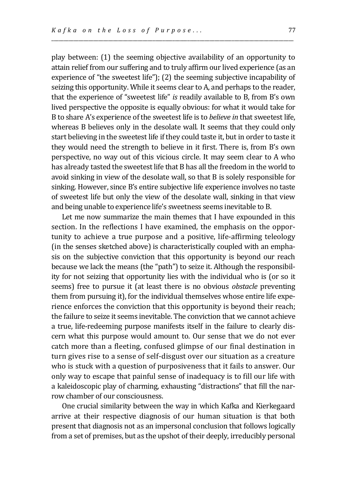play between: (1) the seeming objective availability of an opportunity to attain relief from our suffering and to truly affirm our lived experience (as an experience of "the sweetest life"); (2) the seeming subjective incapability of seizing this opportunity. While it seems clear to A, and perhaps to the reader, that the experience of "sweetest life" *is* readily available to B, from B's own lived perspective the opposite is equally obvious: for what it would take for B to share A's experience of the sweetest life is to *believe in* that sweetest life, whereas B believes only in the desolate wall. It seems that they could only start believing in the sweetest life if they could taste it, but in order to taste it they would need the strength to believe in it first. There is, from B's own perspective, no way out of this vicious circle. It may seem clear to A who has already tasted the sweetest life that B has all the freedom in the world to avoid sinking in view of the desolate wall, so that B is solely responsible for sinking. However, since B's entire subjective life experience involves no taste of sweetest life but only the view of the desolate wall, sinking in that view and being unable to experience life's sweetness seems inevitable to B.

\_\_\_\_\_\_\_\_\_\_\_\_\_\_\_\_\_\_\_\_\_\_\_\_\_\_\_\_\_\_\_\_\_\_\_\_\_\_\_\_\_\_\_\_\_\_\_\_\_\_\_\_\_\_\_\_\_\_\_\_\_\_\_\_\_\_\_\_\_\_\_\_\_\_\_\_\_\_\_\_\_\_\_\_\_\_\_\_\_\_\_\_\_\_\_\_\_\_

Let me now summarize the main themes that I have expounded in this section. In the reflections I have examined, the emphasis on the opportunity to achieve a true purpose and a positive, life-affirming teleology (in the senses sketched above) is characteristically coupled with an emphasis on the subjective conviction that this opportunity is beyond our reach because we lack the means (the "path") to seize it. Although the responsibility for not seizing that opportunity lies with the individual who is (or so it seems) free to pursue it (at least there is no obvious *obstacle* preventing them from pursuing it), for the individual themselves whose entire life experience enforces the conviction that this opportunity is beyond their reach; the failure to seize it seems inevitable. The conviction that we cannot achieve a true, life-redeeming purpose manifests itself in the failure to clearly discern what this purpose would amount to. Our sense that we do not ever catch more than a fleeting, confused glimpse of our final destination in turn gives rise to a sense of self-disgust over our situation as a creature who is stuck with a question of purposiveness that it fails to answer. Our only way to escape that painful sense of inadequacy is to fill our life with a kaleidoscopic play of charming, exhausting "distractions" that fill the narrow chamber of our consciousness.

One crucial similarity between the way in which Kafka and Kierkegaard arrive at their respective diagnosis of our human situation is that both present that diagnosis not as an impersonal conclusion that follows logically from a set of premises, but as the upshot of their deeply, irreducibly personal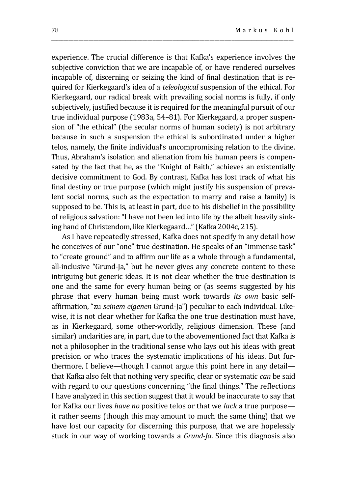experience. The crucial difference is that Kafka's experience involves the subjective conviction that we are incapable of, or have rendered ourselves incapable of, discerning or seizing the kind of final destination that is required for Kierkegaard's idea of a *teleological* suspension of the ethical. For Kierkegaard, our radical break with prevailing social norms is fully, if only subjectively, justified because it is required for the meaningful pursuit of our true individual purpose (1983a, 54–81). For Kierkegaard, a proper suspension of "the ethical" (the secular norms of human society) is not arbitrary because in such a suspension the ethical is subordinated under a higher telos, namely, the finite individual's uncompromising relation to the divine. Thus, Abraham's isolation and alienation from his human peers is compensated by the fact that he, as the "Knight of Faith," achieves an existentially decisive commitment to God. By contrast, Kafka has lost track of what his final destiny or true purpose (which might justify his suspension of prevalent social norms, such as the expectation to marry and raise a family) is supposed to be. This is, at least in part, due to his disbelief in the possibility of religious salvation: "I have not been led into life by the albeit heavily sinking hand of Christendom, like Kierkegaard…" (Kafka 2004c, 215).

\_\_\_\_\_\_\_\_\_\_\_\_\_\_\_\_\_\_\_\_\_\_\_\_\_\_\_\_\_\_\_\_\_\_\_\_\_\_\_\_\_\_\_\_\_\_\_\_\_\_\_\_\_\_\_\_\_\_\_\_\_\_\_\_\_\_\_\_\_\_\_\_\_\_\_\_\_\_\_\_\_\_\_\_\_\_\_\_\_\_\_\_\_\_\_\_\_\_

As I have repeatedly stressed, Kafka does not specify in any detail how he conceives of our "one" true destination. He speaks of an "immense task" to "create ground" and to affirm our life as a whole through a fundamental, all-inclusive "Grund-Ja," but he never gives any concrete content to these intriguing but generic ideas. It is not clear whether the true destination is one and the same for every human being or (as seems suggested by his phrase that every human being must work towards *its own* basic selfaffirmation, "zu *seinem eigenen* Grund-Ja") peculiar to each individual. Likewise, it is not clear whether for Kafka the one true destination must have, as in Kierkegaard, some other-worldly, religious dimension. These (and similar) unclarities are, in part, due to the abovementioned fact that Kafka is not a philosopher in the traditional sense who lays out his ideas with great precision or who traces the systematic implications of his ideas. But furthermore, I believe—though I cannot argue this point here in any detail that Kafka also felt that nothing very specific, clear or systematic *can* be said with regard to our questions concerning "the final things." The reflections I have analyzed in this section suggest that it would be inaccurate to say that for Kafka our lives *have no* positive telos or that we *lack* a true purpose it rather seems (though this may amount to much the same thing) that we have lost our capacity for discerning this purpose, that we are hopelessly stuck in our way of working towards a *Grund-Ja*. Since this diagnosis also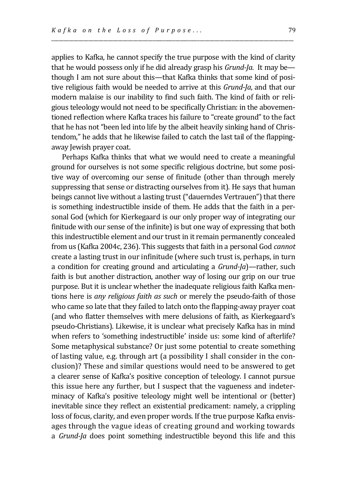applies to Kafka, he cannot specify the true purpose with the kind of clarity that he would possess only if he did already grasp his *Grund-Ja*. It may be though I am not sure about this—that Kafka thinks that some kind of positive religious faith would be needed to arrive at this *Grund-Ja*, and that our modern malaise is our inability to find such faith. The kind of faith or religious teleology would not need to be specifically Christian: in the abovementioned reflection where Kafka traces his failure to "create ground" to the fact that he has not "been led into life by the albeit heavily sinking hand of Christendom," he adds that he likewise failed to catch the last tail of the flappingaway Jewish prayer coat.

\_\_\_\_\_\_\_\_\_\_\_\_\_\_\_\_\_\_\_\_\_\_\_\_\_\_\_\_\_\_\_\_\_\_\_\_\_\_\_\_\_\_\_\_\_\_\_\_\_\_\_\_\_\_\_\_\_\_\_\_\_\_\_\_\_\_\_\_\_\_\_\_\_\_\_\_\_\_\_\_\_\_\_\_\_\_\_\_\_\_\_\_\_\_\_\_\_\_

Perhaps Kafka thinks that what we would need to create a meaningful ground for ourselves is not some specific religious doctrine, but some positive way of overcoming our sense of finitude (other than through merely suppressing that sense or distracting ourselves from it). He says that human beings cannot live without a lasting trust ("dauerndes Vertrauen") that there is something indestructible inside of them. He adds that the faith in a personal God (which for Kierkegaard is our only proper way of integrating our finitude with our sense of the infinite) is but one way of expressing that both this indestructible element and our trust in it remain permanently concealed from us (Kafka 2004c, 236). This suggests that faith in a personal God *cannot* create a lasting trust in our infinitude (where such trust is, perhaps, in turn a condition for creating ground and articulating a *Grund-Ja*)—rather, such faith is but another distraction, another way of losing our grip on our true purpose. But it is unclear whether the inadequate religious faith Kafka mentions here is *any religious faith as such* or merely the pseudo-faith of those who came so late that they failed to latch onto the flapping-away prayer coat (and who flatter themselves with mere delusions of faith, as Kierkegaard's pseudo-Christians). Likewise, it is unclear what precisely Kafka has in mind when refers to 'something indestructible' inside us: some kind of afterlife? Some metaphysical substance? Or just some potential to create something of lasting value, e.g. through art (a possibility I shall consider in the conclusion)? These and similar questions would need to be answered to get a clearer sense of Kafka's positive conception of teleology. I cannot pursue this issue here any further, but I suspect that the vagueness and indeterminacy of Kafka's positive teleology might well be intentional or (better) inevitable since they reflect an existential predicament: namely, a crippling loss of focus, clarity, and even proper words. If the true purpose Kafka envisages through the vague ideas of creating ground and working towards a *Grund-Ja* does point something indestructible beyond this life and this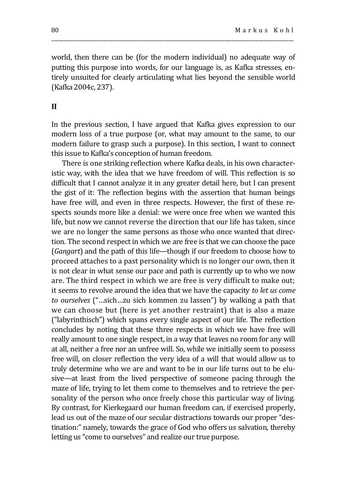world, then there can be (for the modern individual) no adequate way of putting this purpose into words, for our language is, as Kafka stresses, entirely unsuited for clearly articulating what lies beyond the sensible world (Kafka 2004c, 237).

\_\_\_\_\_\_\_\_\_\_\_\_\_\_\_\_\_\_\_\_\_\_\_\_\_\_\_\_\_\_\_\_\_\_\_\_\_\_\_\_\_\_\_\_\_\_\_\_\_\_\_\_\_\_\_\_\_\_\_\_\_\_\_\_\_\_\_\_\_\_\_\_\_\_\_\_\_\_\_\_\_\_\_\_\_\_\_\_\_\_\_\_\_\_\_\_\_\_

#### **II**

In the previous section, I have argued that Kafka gives expression to our modern loss of a true purpose (or, what may amount to the same, to our modern failure to grasp such a purpose). In this section, I want to connect this issue to Kafka's conception of human freedom.

There is one striking reflection where Kafka deals, in his own characteristic way, with the idea that we have freedom of will. This reflection is so difficult that I cannot analyze it in any greater detail here, but I can present the gist of it: The reflection begins with the assertion that human beings have free will, and even in three respects. However, the first of these respects sounds more like a denial: we were once free when we wanted this life, but now we cannot reverse the direction that our life has taken, since we are no longer the same persons as those who once wanted that direction. The second respect in which we are free is that we can choose the pace (*Gangart*) and the path of this life—though if our freedom to choose how to proceed attaches to a past personality which is no longer our own, then it is not clear in what sense our pace and path is currently up to who we now are. The third respect in which we are free is very difficult to make out; it seems to revolve around the idea that we have the capacity *to let us come to ourselves* ("…sich…zu sich kommen zu lassen") by walking a path that we can choose but (here is yet another restraint) that is also a maze ("labyrinthisch") which spans every single aspect of our life. The reflection concludes by noting that these three respects in which we have free will really amount to one single respect, in a way that leaves no room for any will at all, neither a free nor an unfree will. So, while we initially seem to possess free will, on closer reflection the very idea of a will that would allow us to truly determine who we are and want to be in our life turns out to be elusive—at least from the lived perspective of someone pacing through the maze of life, trying to let them come to themselves and to retrieve the personality of the person who once freely chose this particular way of living. By contrast, for Kierkegaard our human freedom can, if exercised properly, lead us out of the maze of our secular distractions towards our proper "destination:" namely, towards the grace of God who offers us salvation, thereby letting us "come to ourselves" and realize our true purpose.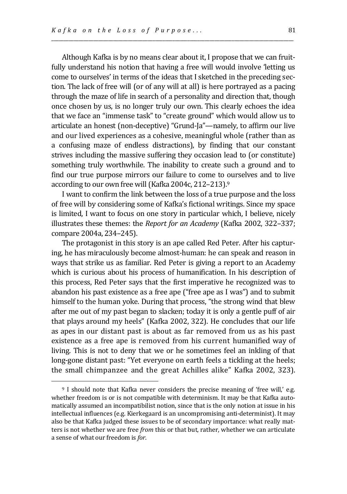Although Kafka is by no means clear about it, I propose that we can fruitfully understand his notion that having a free will would involve 'letting us come to ourselves' in terms of the ideas that I sketched in the preceding section. The lack of free will (or of any will at all) is here portrayed as a pacing through the maze of life in search of a personality and direction that, though once chosen by us, is no longer truly our own. This clearly echoes the idea that we face an "immense task" to "create ground" which would allow us to articulate an honest (non-deceptive) "Grund-Ja"—namely, to affirm our live and our lived experiences as a cohesive, meaningful whole (rather than as a confusing maze of endless distractions), by finding that our constant strives including the massive suffering they occasion lead to (or constitute) something truly worthwhile. The inability to create such a ground and to find our true purpose mirrors our failure to come to ourselves and to live according to our own free will (Kafka 2004c, 212–213).<sup>9</sup>

\_\_\_\_\_\_\_\_\_\_\_\_\_\_\_\_\_\_\_\_\_\_\_\_\_\_\_\_\_\_\_\_\_\_\_\_\_\_\_\_\_\_\_\_\_\_\_\_\_\_\_\_\_\_\_\_\_\_\_\_\_\_\_\_\_\_\_\_\_\_\_\_\_\_\_\_\_\_\_\_\_\_\_\_\_\_\_\_\_\_\_\_\_\_\_\_\_\_

I want to confirm the link between the loss of a true purpose and the loss of free will by considering some of Kafka's fictional writings. Since my space is limited, I want to focus on one story in particular which, I believe, nicely illustrates these themes: the *Report for an Academy* (Kafka 2002, 322–337; compare 2004a, 234–245).

The protagonist in this story is an ape called Red Peter. After his capturing, he has miraculously become almost-human: he can speak and reason in ways that strike us as familiar. Red Peter is giving a report to an Academy which is curious about his process of humanification. In his description of this process, Red Peter says that the first imperative he recognized was to abandon his past existence as a free ape ("free ape as I was") and to submit himself to the human yoke. During that process, "the strong wind that blew after me out of my past began to slacken; today it is only a gentle puff of air that plays around my heels" (Kafka 2002, 322). He concludes that our life as apes in our distant past is about as far removed from us as his past existence as a free ape is removed from his current humanified way of living. This is not to deny that we or he sometimes feel an inkling of that long-gone distant past: "Yet everyone on earth feels a tickling at the heels; the small chimpanzee and the great Achilles alike" Kafka 2002, 323).

<sup>&</sup>lt;sup>9</sup> I should note that Kafka never considers the precise meaning of 'free will,' e.g. whether freedom is or is not compatible with determinism. It may be that Kafka automatically assumed an incompatibilist notion, since that is the only notion at issue in his intellectual influences (e.g. Kierkegaard is an uncompromising anti-determinist). It may also be that Kafka judged these issues to be of secondary importance: what really matters is not whether we are free *from* this or that but, rather, whether we can articulate a sense of what our freedom is *for*.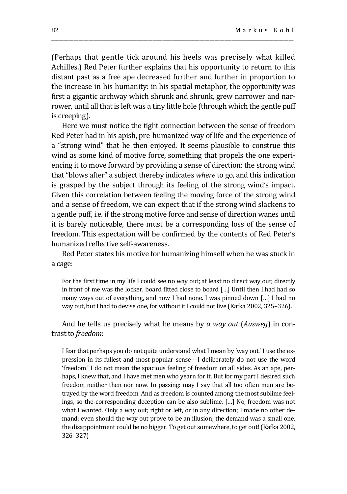(Perhaps that gentle tick around his heels was precisely what killed Achilles.) Red Peter further explains that his opportunity to return to this distant past as a free ape decreased further and further in proportion to the increase in his humanity: in his spatial metaphor, the opportunity was first a gigantic archway which shrunk and shrunk, grew narrower and narrower, until all that is left was a tiny little hole (through which the gentle puff is creeping).

\_\_\_\_\_\_\_\_\_\_\_\_\_\_\_\_\_\_\_\_\_\_\_\_\_\_\_\_\_\_\_\_\_\_\_\_\_\_\_\_\_\_\_\_\_\_\_\_\_\_\_\_\_\_\_\_\_\_\_\_\_\_\_\_\_\_\_\_\_\_\_\_\_\_\_\_\_\_\_\_\_\_\_\_\_\_\_\_\_\_\_\_\_\_\_\_\_\_

Here we must notice the tight connection between the sense of freedom Red Peter had in his apish, pre-humanized way of life and the experience of a "strong wind" that he then enjoyed. It seems plausible to construe this wind as some kind of motive force, something that propels the one experiencing it to move forward by providing a sense of direction: the strong wind that "blows after" a subject thereby indicates *where* to go, and this indication is grasped by the subject through its feeling of the strong wind's impact. Given this correlation between feeling the moving force of the strong wind and a sense of freedom, we can expect that if the strong wind slackens to a gentle puff, i.e. if the strong motive force and sense of direction wanes until it is barely noticeable, there must be a corresponding loss of the sense of freedom. This expectation will be confirmed by the contents of Red Peter's humanized reflective self-awareness.

Red Peter states his motive for humanizing himself when he was stuck in a cage:

For the first time in my life I could see no way out; at least no direct way out; directly in front of me was the locker, board fitted close to board […] Until then I had had so many ways out of everything, and now I had none. I was pinned down […] I had no way out, but I had to devise one, for without it I could not live (Kafka 2002, 325–326).

And he tells us precisely what he means by *a way out* (*Ausweg*) in contrast to *freedom*:

I fear that perhaps you do not quite understand what I mean by 'way out.' I use the expression in its fullest and most popular sense—I deliberately do not use the word 'freedom.' I do not mean the spacious feeling of freedom on all sides. As an ape, perhaps, I knew that, and I have met men who yearn for it. But for my part I desired such freedom neither then nor now. In passing: may I say that all too often men are betrayed by the word freedom. And as freedom is counted among the most sublime feelings, so the corresponding deception can be also sublime. […] No, freedom was not what I wanted. Only a way out; right or left, or in any direction; I made no other demand; even should the way out prove to be an illusion; the demand was a small one, the disappointment could be no bigger. To get out somewhere, to get out! (Kafka 2002, 326–327)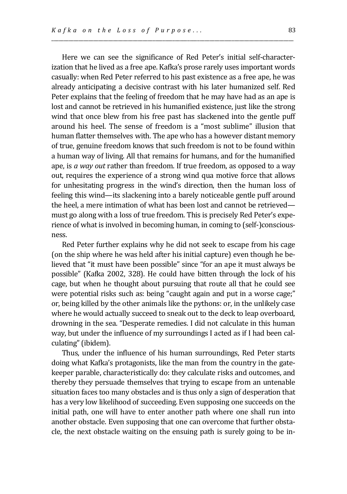Here we can see the significance of Red Peter's initial self-characterization that he lived as a free ape. Kafka's prose rarely uses important words casually: when Red Peter referred to his past existence as a free ape, he was already anticipating a decisive contrast with his later humanized self. Red Peter explains that the feeling of freedom that he may have had as an ape is lost and cannot be retrieved in his humanified existence, just like the strong wind that once blew from his free past has slackened into the gentle puff around his heel. The sense of freedom is a "most sublime" illusion that human flatter themselves with. The ape who has a however distant memory of true, genuine freedom knows that such freedom is not to be found within a human way of living. All that remains for humans, and for the humanified ape, is *a way out* rather than freedom. If true freedom, as opposed to a way out, requires the experience of a strong wind qua motive force that allows for unhesitating progress in the wind's direction, then the human loss of feeling this wind—its slackening into a barely noticeable gentle puff around the heel, a mere intimation of what has been lost and cannot be retrieved must go along with a loss of true freedom. This is precisely Red Peter's experience of what is involved in becoming human, in coming to (self-)consciousness.

\_\_\_\_\_\_\_\_\_\_\_\_\_\_\_\_\_\_\_\_\_\_\_\_\_\_\_\_\_\_\_\_\_\_\_\_\_\_\_\_\_\_\_\_\_\_\_\_\_\_\_\_\_\_\_\_\_\_\_\_\_\_\_\_\_\_\_\_\_\_\_\_\_\_\_\_\_\_\_\_\_\_\_\_\_\_\_\_\_\_\_\_\_\_\_\_\_\_

Red Peter further explains why he did not seek to escape from his cage (on the ship where he was held after his initial capture) even though he believed that "it must have been possible" since "for an ape it must always be possible" (Kafka 2002, 328). He could have bitten through the lock of his cage, but when he thought about pursuing that route all that he could see were potential risks such as: being "caught again and put in a worse cage;" or, being killed by the other animals like the pythons: or, in the unlikely case where he would actually succeed to sneak out to the deck to leap overboard, drowning in the sea. "Desperate remedies. I did not calculate in this human way, but under the influence of my surroundings I acted as if I had been calculating" (ibidem).

Thus, under the influence of his human surroundings, Red Peter starts doing what Kafka's protagonists, like the man from the country in the gatekeeper parable, characteristically do: they calculate risks and outcomes, and thereby they persuade themselves that trying to escape from an untenable situation faces too many obstacles and is thus only a sign of desperation that has a very low likelihood of succeeding. Even supposing one succeeds on the initial path, one will have to enter another path where one shall run into another obstacle. Even supposing that one can overcome that further obstacle, the next obstacle waiting on the ensuing path is surely going to be in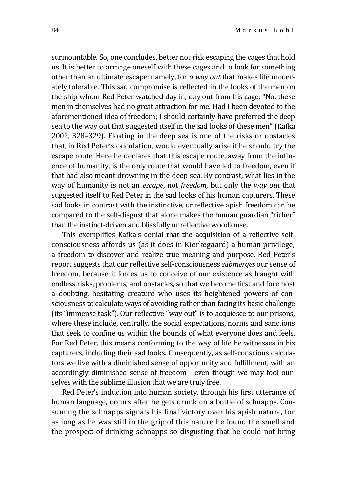surmountable. So, one concludes, better not risk escaping the cages that hold us. It is better to arrange oneself with these cages and to look for something other than an ultimate escape: namely, for *a way out* that makes life moderately tolerable. This sad compromise is reflected in the looks of the men on the ship whom Red Peter watched day in, day out from his cage: "No, these men in themselves had no great attraction for me. Had I been devoted to the aforementioned idea of freedom; I should certainly have preferred the deep sea to the way out that suggested itself in the sad looks of these men" (Kafka 2002, 328–329). Floating in the deep sea is one of the risks or obstacles that, in Red Peter's calculation, would eventually arise if he should try the escape route. Here he declares that this escape route, away from the influence of humanity, is the only route that would have led to freedom, even if that had also meant drowning in the deep sea. By contrast, what lies in the way of humanity is not an *escape*, not *freedom*, but only the *way out* that suggested itself to Red Peter in the sad looks of his human capturers. These sad looks in contrast with the instinctive, unreflective apish freedom can be compared to the self-disgust that alone makes the human guardian "richer" than the instinct-driven and blissfully unreflective woodlouse.

\_\_\_\_\_\_\_\_\_\_\_\_\_\_\_\_\_\_\_\_\_\_\_\_\_\_\_\_\_\_\_\_\_\_\_\_\_\_\_\_\_\_\_\_\_\_\_\_\_\_\_\_\_\_\_\_\_\_\_\_\_\_\_\_\_\_\_\_\_\_\_\_\_\_\_\_\_\_\_\_\_\_\_\_\_\_\_\_\_\_\_\_\_\_\_\_\_\_

This exemplifies Kafka's denial that the acquisition of a reflective selfconsciousness affords us (as it does in Kierkegaard) a human privilege, a freedom to discover and realize true meaning and purpose. Red Peter's report suggests that our reflective self-consciousness *submerges* our sense of freedom, because it forces us to conceive of our existence as fraught with endless risks, problems, and obstacles, so that we become first and foremost a doubting, hesitating creature who uses its heightened powers of consciousness to calculate ways of avoiding rather than facing its basic challenge (its "immense task"). Our reflective "way out" is to acquiesce to our prisons, where these include, centrally, the social expectations, norms and sanctions that seek to confine us within the bounds of what everyone does and feels. For Red Peter, this means conforming to the way of life he witnesses in his capturers, including their sad looks. Consequently, as self-conscious calculators we live with a diminished sense of opportunity and fulfillment, with an accordingly diminished sense of freedom—even though we may fool ourselves with the sublime illusion that we are truly free.

Red Peter's induction into human society, through his first utterance of human language, occurs after he gets drunk on a bottle of schnapps. Consuming the schnapps signals his final victory over his apish nature, for as long as he was still in the grip of this nature he found the smell and the prospect of drinking schnapps so disgusting that he could not bring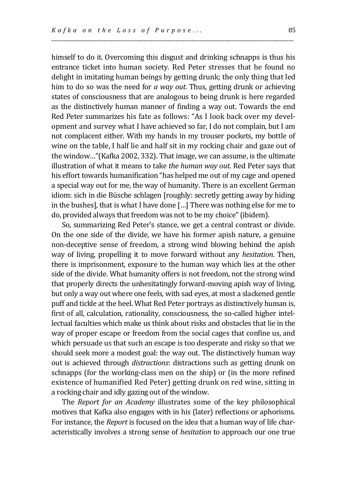himself to do it. Overcoming this disgust and drinking schnapps is thus his entrance ticket into human society. Red Peter stresses that he found no delight in imitating human beings by getting drunk; the only thing that led him to do so was the need for *a way out*. Thus, getting drunk or achieving states of consciousness that are analogous to being drunk is here regarded as the distinctively human manner of finding a way out. Towards the end Red Peter summarizes his fate as follows: "As I look back over my development and survey what I have achieved so far, I do not complain, but I am not complacent either. With my hands in my trouser pockets, my bottle of wine on the table, I half lie and half sit in my rocking chair and gaze out of the window…"(Kafka 2002, 332). That image, we can assume, is the ultimate illustration of what it means to take *the human way out*. Red Peter says that his effort towards humanification "has helped me out of my cage and opened a special way out for me, the way of humanity. There is an excellent German idiom: sich in die Büsche schlagen [roughly: secretly getting away by hiding in the bushes], that is what I have done […] There was nothing else for me to do, provided always that freedom was not to be my choice"(ibidem).

\_\_\_\_\_\_\_\_\_\_\_\_\_\_\_\_\_\_\_\_\_\_\_\_\_\_\_\_\_\_\_\_\_\_\_\_\_\_\_\_\_\_\_\_\_\_\_\_\_\_\_\_\_\_\_\_\_\_\_\_\_\_\_\_\_\_\_\_\_\_\_\_\_\_\_\_\_\_\_\_\_\_\_\_\_\_\_\_\_\_\_\_\_\_\_\_\_\_

So, summarizing Red Peter's stance, we get a central contrast or divide. On the one side of the divide, we have his former apish nature, a genuine non-deceptive sense of freedom, a strong wind blowing behind the apish way of living, propelling it to move forward without any *hesitation*. Then, there is imprisonment, exposure to the human way which lies at the other side of the divide. What humanity offers is not freedom, not the strong wind that properly directs the unhesitatingly forward-moving apish way of living, but only a way out where one feels, with sad eyes, at most a slackened gentle puff and tickle at the heel. What Red Peter portrays as distinctively human is, first of all, calculation, rationality, consciousness, the so-called higher intellectual faculties which make us think about risks and obstacles that lie in the way of proper escape or freedom from the social cages that confine us, and which persuade us that such an escape is too desperate and risky so that we should seek more a modest goal: the way out. The distinctively human way out is achieved through *distractions*: distractions such as getting drunk on schnapps (for the working-class men on the ship) or (in the more refined existence of humanified Red Peter) getting drunk on red wine, sitting in a rocking chair and idly gazing out of the window.

The *Report for an Academy* illustrates some of the key philosophical motives that Kafka also engages with in his (later) reflections or aphorisms. For instance, the *Report* is focused on the idea that a human way of life characteristically involves a strong sense of *hesitation* to approach our one true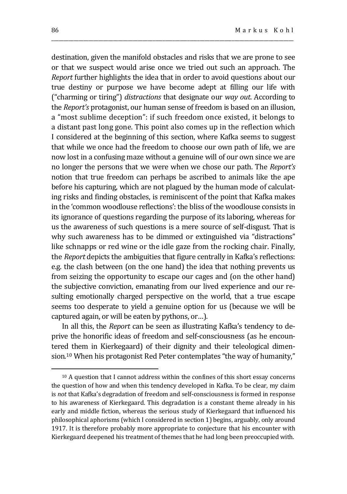destination, given the manifold obstacles and risks that we are prone to see or that we suspect would arise once we tried out such an approach. The *Report* further highlights the idea that in order to avoid questions about our true destiny or purpose we have become adept at filling our life with ("charming or tiring") *distractions* that designate our *way out*. According to the *Report's* protagonist, our human sense of freedom is based on an illusion, a "most sublime deception": if such freedom once existed, it belongs to a distant past long gone. This point also comes up in the reflection which I considered at the beginning of this section, where Kafka seems to suggest that while we once had the freedom to choose our own path of life, we are now lost in a confusing maze without a genuine will of our own since we are no longer the persons that we were when we chose our path. The *Report's* notion that true freedom can perhaps be ascribed to animals like the ape before his capturing, which are not plagued by the human mode of calculating risks and finding obstacles, is reminiscent of the point that Kafka makes in the 'common woodlouse reflections': the bliss of the woodlouse consists in its ignorance of questions regarding the purpose of its laboring, whereas for us the awareness of such questions is a mere source of self-disgust. That is why such awareness has to be dimmed or extinguished via "distractions" like schnapps or red wine or the idle gaze from the rocking chair. Finally, the *Report* depicts the ambiguities that figure centrally in Kafka's reflections: e.g. the clash between (on the one hand) the idea that nothing prevents us from seizing the opportunity to escape our cages and (on the other hand) the subjective conviction, emanating from our lived experience and our resulting emotionally charged perspective on the world, that a true escape seems too desperate to yield a genuine option for us (because we will be captured again, or will be eaten by pythons, or…).

\_\_\_\_\_\_\_\_\_\_\_\_\_\_\_\_\_\_\_\_\_\_\_\_\_\_\_\_\_\_\_\_\_\_\_\_\_\_\_\_\_\_\_\_\_\_\_\_\_\_\_\_\_\_\_\_\_\_\_\_\_\_\_\_\_\_\_\_\_\_\_\_\_\_\_\_\_\_\_\_\_\_\_\_\_\_\_\_\_\_\_\_\_\_\_\_\_\_

In all this, the *Report* can be seen as illustrating Kafka's tendency to deprive the honorific ideas of freedom and self-consciousness (as he encountered them in Kierkegaard) of their dignity and their teleological dimension.<sup>10</sup> When his protagonist Red Peter contemplates "the way of humanity,"

<sup>&</sup>lt;sup>10</sup> A question that I cannot address within the confines of this short essay concerns the question of how and when this tendency developed in Kafka. To be clear, my claim is *not* that Kafka's degradation of freedom and self-consciousness is formed in response to his awareness of Kierkegaard. This degradation is a constant theme already in his early and middle fiction, whereas the serious study of Kierkegaard that influenced his philosophical aphorisms (which I considered in section 1) begins, arguably, only around 1917. It is therefore probably more appropriate to conjecture that his encounter with Kierkegaard deepened his treatment of themes that he had long been preoccupied with.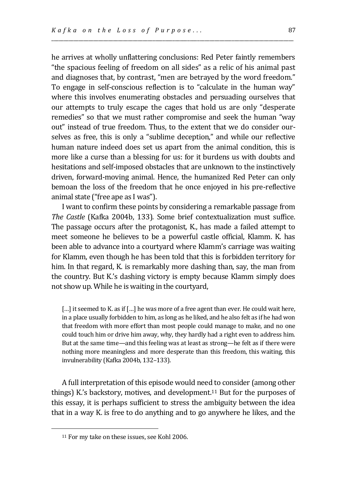he arrives at wholly unflattering conclusions: Red Peter faintly remembers "the spacious feeling of freedom on all sides" as a relic of his animal past and diagnoses that, by contrast, "men are betrayed by the word freedom." To engage in self-conscious reflection is to "calculate in the human way" where this involves enumerating obstacles and persuading ourselves that our attempts to truly escape the cages that hold us are only "desperate remedies" so that we must rather compromise and seek the human "way out" instead of true freedom. Thus, to the extent that we do consider ourselves as free, this is only a "sublime deception," and while our reflective human nature indeed does set us apart from the animal condition, this is more like a curse than a blessing for us: for it burdens us with doubts and hesitations and self-imposed obstacles that are unknown to the instinctively driven, forward-moving animal. Hence, the humanized Red Peter can only bemoan the loss of the freedom that he once enjoyed in his pre-reflective animal state ("free ape as I was").

\_\_\_\_\_\_\_\_\_\_\_\_\_\_\_\_\_\_\_\_\_\_\_\_\_\_\_\_\_\_\_\_\_\_\_\_\_\_\_\_\_\_\_\_\_\_\_\_\_\_\_\_\_\_\_\_\_\_\_\_\_\_\_\_\_\_\_\_\_\_\_\_\_\_\_\_\_\_\_\_\_\_\_\_\_\_\_\_\_\_\_\_\_\_\_\_\_\_

I want to confirm these points by considering a remarkable passage from *The Castle* (Kafka 2004b, 133)*.* Some brief contextualization must suffice. The passage occurs after the protagonist, K., has made a failed attempt to meet someone he believes to be a powerful castle official, Klamm. K. has been able to advance into a courtyard where Klamm's carriage was waiting for Klamm, even though he has been told that this is forbidden territory for him. In that regard, K. is remarkably more dashing than, say, the man from the country. But K.'s dashing victory is empty because Klamm simply does not show up. While he is waiting in the courtyard,

[...] it seemed to K. as if [...] he was more of a free agent than ever. He could wait here, in a place usually forbidden to him, as long as he liked, and he also felt as if he had won that freedom with more effort than most people could manage to make, and no one could touch him or drive him away, why, they hardly had a right even to address him. But at the same time—and this feeling was at least as strong—he felt as if there were nothing more meaningless and more desperate than this freedom, this waiting, this invulnerability (Kafka 2004b, 132–133).

A full interpretation of this episode would need to consider (among other things) K.'s backstory, motives, and development.<sup>11</sup> But for the purposes of this essay, it is perhaps sufficient to stress the ambiguity between the idea that in a way K. is free to do anything and to go anywhere he likes, and the

<sup>11</sup> For my take on these issues, see Kohl 2006.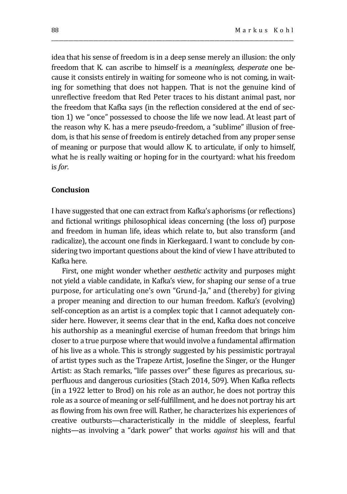idea that his sense of freedom is in a deep sense merely an illusion: the only freedom that K. can ascribe to himself is a *meaningless, desperate* one because it consists entirely in waiting for someone who is not coming, in waiting for something that does not happen. That is not the genuine kind of unreflective freedom that Red Peter traces to his distant animal past, nor the freedom that Kafka says (in the reflection considered at the end of section 1) we "once" possessed to choose the life we now lead. At least part of the reason why K. has a mere pseudo-freedom, a "sublime" illusion of freedom, is that his sense of freedom is entirely detached from any proper sense of meaning or purpose that would allow K. to articulate, if only to himself, what he is really waiting or hoping for in the courtyard: what his freedom is *for*.

\_\_\_\_\_\_\_\_\_\_\_\_\_\_\_\_\_\_\_\_\_\_\_\_\_\_\_\_\_\_\_\_\_\_\_\_\_\_\_\_\_\_\_\_\_\_\_\_\_\_\_\_\_\_\_\_\_\_\_\_\_\_\_\_\_\_\_\_\_\_\_\_\_\_\_\_\_\_\_\_\_\_\_\_\_\_\_\_\_\_\_\_\_\_\_\_\_\_

### **Conclusion**

I have suggested that one can extract from Kafka's aphorisms (or reflections) and fictional writings philosophical ideas concerning (the loss of) purpose and freedom in human life, ideas which relate to, but also transform (and radicalize), the account one finds in Kierkegaard. I want to conclude by considering two important questions about the kind of view I have attributed to Kafka here.

First, one might wonder whether *aesthetic* activity and purposes might not yield a viable candidate, in Kafka's view, for shaping our sense of a true purpose, for articulating one's own "Grund-Ja," and (thereby) for giving a proper meaning and direction to our human freedom. Kafka's (evolving) self-conception as an artist is a complex topic that I cannot adequately consider here. However, it seems clear that in the end, Kafka does not conceive his authorship as a meaningful exercise of human freedom that brings him closer to a true purpose where that would involve a fundamental affirmation of his live as a whole. This is strongly suggested by his pessimistic portrayal of artist types such as the Trapeze Artist, Josefine the Singer, or the Hunger Artist: as Stach remarks, "life passes over" these figures as precarious, superfluous and dangerous curiosities (Stach 2014, 509). When Kafka reflects (in a 1922 letter to Brod) on his role as an author, he does not portray this role as a source of meaning or self-fulfillment, and he does not portray his art as flowing from his own free will. Rather, he characterizes his experiences of creative outbursts—characteristically in the middle of sleepless, fearful nights—as involving a "dark power" that works *against* his will and that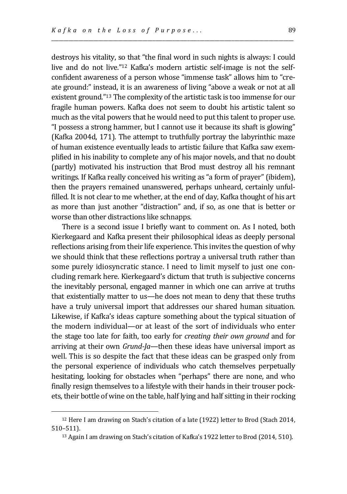destroys his vitality, so that "the final word in such nights is always: I could live and do not live."<sup>12</sup> Kafka's modern artistic self-image is not the selfconfident awareness of a person whose "immense task" allows him to "create ground:" instead, it is an awareness of living "above a weak or not at all existent ground."<sup>13</sup> The complexity of the artistic task is too immense for our fragile human powers. Kafka does not seem to doubt his artistic talent so much as the vital powers that he would need to put this talent to proper use. "I possess a strong hammer, but I cannot use it because its shaft is glowing" (Kafka 2004d, 171). The attempt to truthfully portray the labyrinthic maze of human existence eventually leads to artistic failure that Kafka saw exemplified in his inability to complete any of his major novels, and that no doubt (partly) motivated his instruction that Brod must destroy all his remnant writings. If Kafka really conceived his writing as "a form of prayer" (ibidem), then the prayers remained unanswered, perhaps unheard, certainly unfulfilled. It is not clear to me whether, at the end of day, Kafka thought of his art as more than just another "distraction" and, if so, as one that is better or worse than other distractions like schnapps.

\_\_\_\_\_\_\_\_\_\_\_\_\_\_\_\_\_\_\_\_\_\_\_\_\_\_\_\_\_\_\_\_\_\_\_\_\_\_\_\_\_\_\_\_\_\_\_\_\_\_\_\_\_\_\_\_\_\_\_\_\_\_\_\_\_\_\_\_\_\_\_\_\_\_\_\_\_\_\_\_\_\_\_\_\_\_\_\_\_\_\_\_\_\_\_\_\_\_

There is a second issue I briefly want to comment on. As I noted, both Kierkegaard and Kafka present their philosophical ideas as deeply personal reflections arising from their life experience. This invites the question of why we should think that these reflections portray a universal truth rather than some purely idiosyncratic stance. I need to limit myself to just one concluding remark here. Kierkegaard's dictum that truth is subjective concerns the inevitably personal, engaged manner in which one can arrive at truths that existentially matter to us—he does not mean to deny that these truths have a truly universal import that addresses our shared human situation. Likewise, if Kafka's ideas capture something about the typical situation of the modern individual—or at least of the sort of individuals who enter the stage too late for faith, too early for *creating their own ground* and for arriving at their own *Grund-Ja—*then these ideas have universal import as well. This is so despite the fact that these ideas can be grasped only from the personal experience of individuals who catch themselves perpetually hesitating, looking for obstacles when "perhaps" there are none, and who finally resign themselves to a lifestyle with their hands in their trouser pockets, their bottle of wine on the table, half lying and half sitting in their rocking

<sup>12</sup> Here I am drawing on Stach's citation of a late (1922) letter to Brod (Stach 2014, 510–511).

<sup>13</sup> Again I am drawing on Stach's citation of Kafka's 1922 letter to Brod (2014, 510).